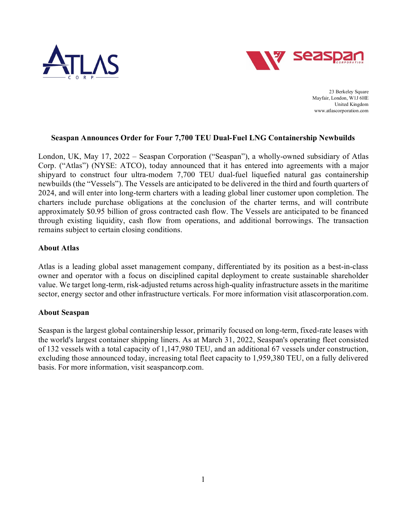



23 Berkeley Square Mayfair, London, W1J 6HE United Kingdom www.atlascorporation.com

### **Seaspan Announces Order for Four 7,700 TEU Dual-Fuel LNG Containership Newbuilds**

London, UK, May 17, 2022 – Seaspan Corporation ("Seaspan"), a wholly-owned subsidiary of Atlas Corp. ("Atlas") (NYSE: ATCO), today announced that it has entered into agreements with a major shipyard to construct four ultra-modern 7,700 TEU dual-fuel liquefied natural gas containership newbuilds (the "Vessels"). The Vessels are anticipated to be delivered in the third and fourth quarters of 2024, and will enter into long-term charters with a leading global liner customer upon completion. The charters include purchase obligations at the conclusion of the charter terms, and will contribute approximately \$0.95 billion of gross contracted cash flow. The Vessels are anticipated to be financed through existing liquidity, cash flow from operations, and additional borrowings. The transaction remains subject to certain closing conditions.

## **About Atlas**

Atlas is a leading global asset management company, differentiated by its position as a best-in-class owner and operator with a focus on disciplined capital deployment to create sustainable shareholder value. We target long-term, risk-adjusted returns across high-quality infrastructure assets in the maritime sector, energy sector and other infrastructure verticals. For more information visit atlascorporation.com.

### **About Seaspan**

Seaspan is the largest global containership lessor, primarily focused on long-term, fixed-rate leases with the world's largest container shipping liners. As at March 31, 2022, Seaspan's operating fleet consisted of 132 vessels with a total capacity of 1,147,980 TEU, and an additional 67 vessels under construction, excluding those announced today, increasing total fleet capacity to 1,959,380 TEU, on a fully delivered basis. For more information, visit seaspancorp.com.